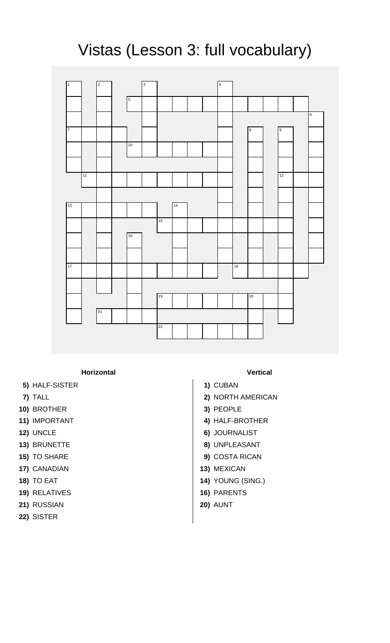## Vistas (Lesson 3: full vocabulary)



## **Horizontal Vertical**

- **5)** HALF-SISTER **1)** CUBAN
- 
- **10)** BROTHER **3)** PEOPLE
- 
- 
- 
- 
- 
- 
- **19)** RELATIVES **16)** PARENTS
- **21)** RUSSIAN **20)** AUNT
- **22)** SISTER
- 
- 
- **7)** TALL **2)** NORTH AMERICAN
	-
- **11)** IMPORTANT **4)** HALF-BROTHER
- **12)** UNCLE **6)** JOURNALIST
- **13)** BRUNETTE **8)** UNPLEASANT
- **15)** TO SHARE **9)** COSTA RICAN
- **17)** CANADIAN **13)** MEXICAN
- **18)** TO EAT **14)** YOUNG (SING.)
	-
	-